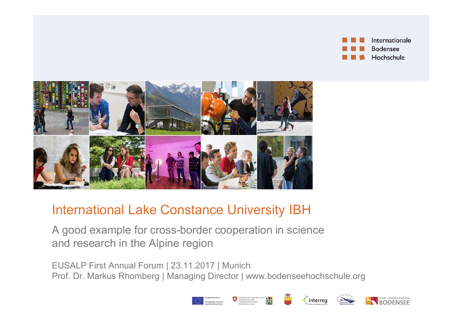



## International Lake Constance University IBH

A good example for cross-border cooperation in science and research in the Alpine region

EUSALP First Annual Forum | 23.11.2017 | Munich

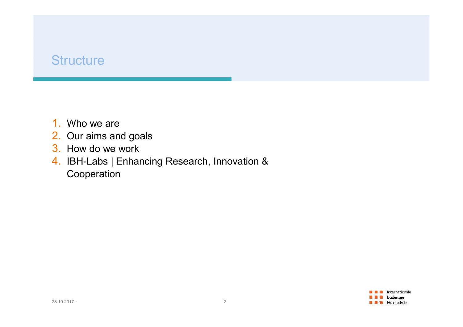## **Structure**

- 1. Who we are
- 2. Our aims and goals
- 3. How do we work
- 4. IBH-Labs | Enhancing Research, Innovation & Cooperation 4. IBH-Labs | Enhancing Research, Innovation<br>Cooperation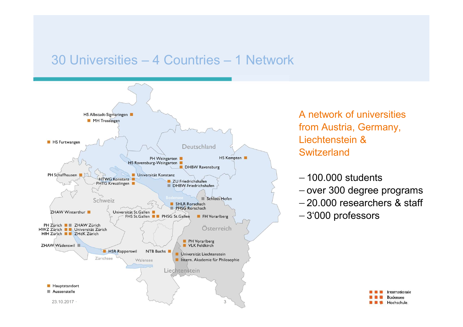

A network of universities<br>from Austria, Germany,<br>Liechtenstein & A network of universities<br>from Austria, Germany,<br>Liechtenstein &<br>Switzerland Liechtenstein & **Switzerland** A network of universities<br>from Austria, Germany,<br>Liechtenstein &<br>Switzerland<br>- 100.000 students<br>- over 300 degree programs<br>- 20.000 researchers & staff<br>- 3'000 professors

- $-100.000$  students
- 
- 
- 

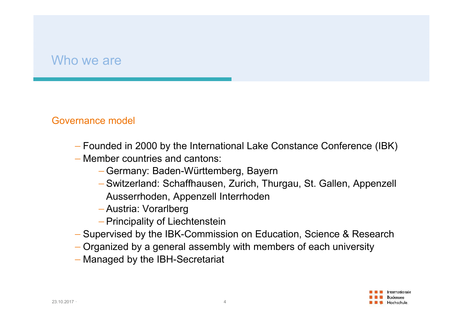# Who we are<br>
<u>Who we are</u>

### Governance model

- Founded in 2000 by the International Lake Constance Conference (IBK)
- Member countries and cantons:
	- Germany: Baden-Württemberg, Bayern
- Switzerland: Schaffhausen, Zurich, Thurgau, St. Gallen, Appenzell Ausserrhoden, Appenzell Interrhoden - Member countries and cantons.<br>
- Germany: Baden-Württemberg, Ba<br>
- Switzerland: Schaffhausen, Zurich<br>
Ausserrhoden, Appenzell Interrhod<br>
- Austria: Vorarlberg<br>
- Principality of Liechtenstein<br>
- Supervised by the IBK-Com
	- Austria: Vorarlberg
	- Principality of Liechtenstein
	- Supervised by the IBK-Commission on Education, Science & Research
	- Organized by a general assembly with members of each university
	- Managed by the IBH-Secretariat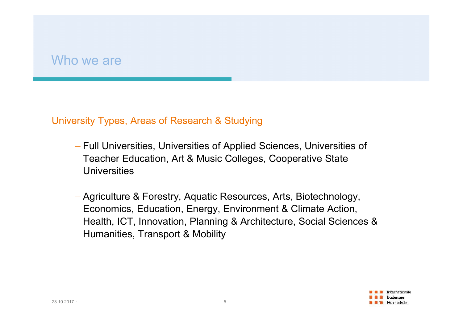# Who we are<br>
<u>Who we are</u>

- Who we are<br>University Types, Areas of Research & Studying<br>— Full Universities, Universities of Applied Sciences, Universities<br>— Teacher Education, Art & Music Collages, Connective State Full Universities, Universities of Applied Sciences, Universities of Teacher Education, Art & Music Colleges, Cooperative State **Universities**
- Agriculture & Forestry, Aquatic Resources, Arts, Biotechnology, Economics, Education, Energy, Environment & Climate Action, Health, ICT, Innovation, Planning & Architecture, Social Sciences & Humanities, Transport & Mobility Feacher Education, Art & Music College<br>Universities<br>- Agriculture & Forestry, Aquatic Resourc<br>Economics, Education, Energy, Environ<br>Health, ICT, Innovation, Planning & Arc<br>Humanities, Transport & Mobility

Internationale **Bodensee E** Hochschule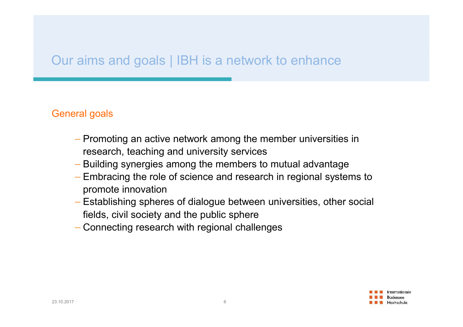# Our aims and goals | IBH is a network to enhance

### General goals

- Promoting an active network among the member universities in research, teaching and university services
- Building synergies among the members to mutual advantage
- Embracing the role of science and research in regional systems to promote innovation - Building synergies among the members<br>
- Embracing the role of science and research<br>
promote innovation<br>
- Establishing spheres of dialogue betwee<br>
fields, civil society and the public sphere<br>
- Connecting research with r
	- Establishing spheres of dialogue between universities, other social fields, civil society and the public sphere
	- Connecting research with regional challenges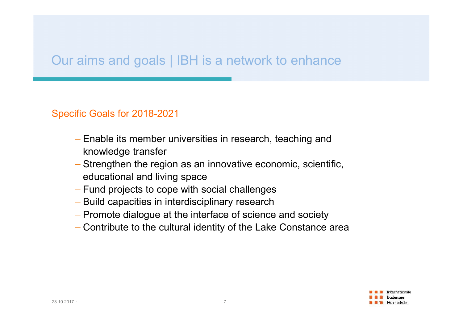# Our aims and goals | IBH is a network to enhance

### Specific Goals for 2018-2021

- Enable its member universities in research, teaching and knowledge transfer
- Strengthen the region as an innovative economic, scientific, educational and living space - Strengthen the region as an innovative<br>
educational and living space<br>
- Fund projects to cope with social challe<br>
- Build capacities in interdisciplinary rese<br>
- Promote dialogue at the interface of sci-<br>
- Contribute to
	- Fund projects to cope with social challenges
	- Build capacities in interdisciplinary research
	- Promote dialogue at the interface of science and society
	- Contribute to the cultural identity of the Lake Constance area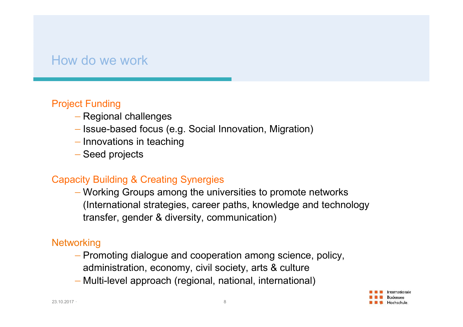# How do we work

## Project Funding

- Regional challenges
- Issue-based focus (e.g. Social Innovation, Migration)
- $-$  Innovations in teaching
- Seed projects

## Capacity Building & Creating Synergies

 Working Groups among the universities to promote networks (International strategies, career paths, knowledge and technology transfer, gender & diversity, communication) Capacity Building & Creating Synergies<br>
— Working Groups among the universities<br>
(International strategies, career paths, k<br>
transfer, gender & diversity, communica<br>
Networking<br>
— Promoting dialogue and cooperation an<br>
ad

### **Networking**

- Promoting dialogue and cooperation among science, policy, administration, economy, civil society, arts & culture
- Multi-level approach (regional, national, international)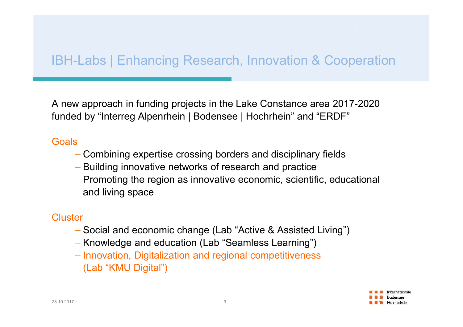# IBH-Labs | Enhancing Research, Innovation & Cooperation

A new approach in funding projects in the Lake Constance area 2017-2020 IBH-Labs | Enhancing Research, Innovation & Cooperation<br>
A new approach in funding projects in the Lake Constance area 2017-2020<br>
funded by "Interreg Alpenrhein | Bodensee | Hochrhein" and "ERDF"<br>
Goals

### **Goals**

- Combining expertise crossing borders and disciplinary fields
- Building innovative networks of research and practice
- Promoting the region as innovative economic, scientific, educational and living space - Building innovative networks of researc<br>
- Promoting the region as innovative econ<br>
and living space<br>
Cluster<br>
- Social and economic change (Lab "Acti"<br>
- Knowledge and education (Lab "Seamle<br>
- Innovation, Digitalizatio

### **Cluster**

- Social and economic change (Lab "Active & Assisted Living")
- Knowledge and education (Lab "Seamless Learning")
- Innovation, Digitalization and regional competitiveness (Lab "KMU Digital")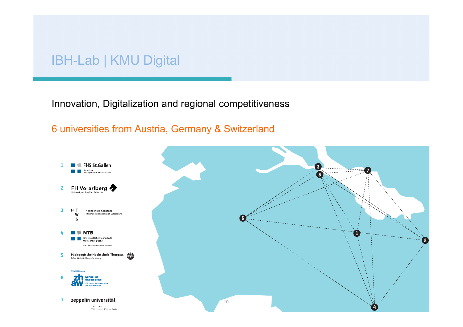## IBH-Lab | KMU Digital

### Innovation, Digitalization and regional competitiveness

### 6 universities from Austria, Germany & Switzerland

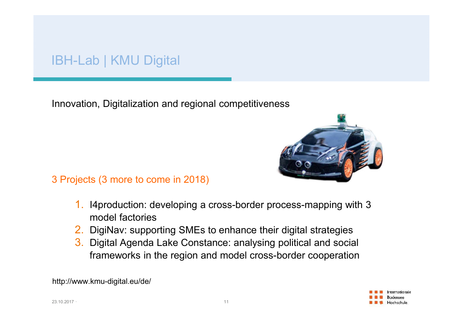## IBH-Lab | KMU Digital

Innovation, Digitalization and regional competitiveness



3 Projects (3 more to come in 2018)

- 1. I4production: developing a cross-border process-mapping with 3 model factories
- 2. DigiNav: supporting SMEs to enhance their digital strategies
- 3. Digital Agenda Lake Constance: analysing political and social frameworks in the region and model cross-border cooperation 3 Projects (3 more to come in 2018)<br>
1. I4production: developing a cross-bord<br>
model factories<br>
2. DigiNav: supporting SMEs to enhance<br>
3. Digital Agenda Lake Constance: analy<br>
frameworks in the region and model c<br>
http://

http://www.kmu-digital.eu/de/